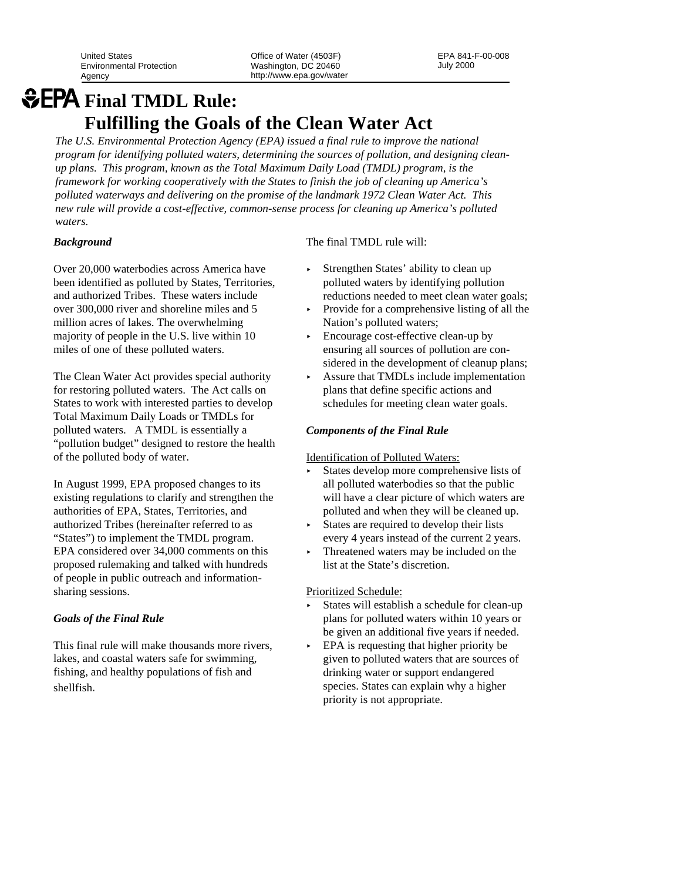United States **Department Concrete Concrete Concrete Concrete Concrete Concrete Concrete Concrete Concrete Concrete Concrete Concrete Concrete Concrete Concrete Concrete Concrete Concrete Concrete Concrete Concrete Concret** Environmental Protection Washington, DC 20460

Agency http://www.epa.gov/water

# *<u>GEPA Final TMDL Rule:</u>* **Fulfilling the Goals of the Clean Water Act**

*The U.S. Environmental Protection Agency (EPA) issued a final rule to improve the national program for identifying polluted waters, determining the sources of pollution, and designing cleanup plans. This program, known as the Total Maximum Daily Load (TMDL) program, is the framework for working cooperatively with the States to finish the job of cleaning up America's polluted waterways and delivering on the promise of the landmark 1972 Clean Water Act. This new rule will provide a cost-effective, common-sense process for cleaning up America's polluted waters.* 

## *Background*

Over 20,000 waterbodies across America have been identified as polluted by States, Territories, and authorized Tribes. These waters include over 300,000 river and shoreline miles and 5 million acres of lakes. The overwhelming majority of people in the U.S. live within 10 miles of one of these polluted waters.

The Clean Water Act provides special authority for restoring polluted waters. The Act calls on States to work with interested parties to develop Total Maximum Daily Loads or TMDLs for polluted waters. A TMDL is essentially a "pollution budget" designed to restore the health of the polluted body of water.

In August 1999, EPA proposed changes to its existing regulations to clarify and strengthen the authorities of EPA, States, Territories, and authorized Tribes (hereinafter referred to as "States") to implement the TMDL program. EPA considered over 34,000 comments on this proposed rulemaking and talked with hundreds of people in public outreach and informationsharing sessions.

## *Goals of the Final Rule*

This final rule will make thousands more rivers, lakes, and coastal waters safe for swimming, fishing, and healthy populations of fish and shellfish.

The final TMDL rule will:

- Strengthen States' ability to clean up polluted waters by identifying pollution reductions needed to meet clean water goals;
- < Provide for a comprehensive listing of all the Nation's polluted waters;
- < Encourage cost-effective clean-up by ensuring all sources of pollution are considered in the development of cleanup plans;
- < Assure that TMDLs include implementation plans that define specific actions and schedules for meeting clean water goals.

### *Components of the Final Rule*

Identification of Polluted Waters:

- < States develop more comprehensive lists of all polluted waterbodies so that the public will have a clear picture of which waters are polluted and when they will be cleaned up.
- < States are required to develop their lists every 4 years instead of the current 2 years.
- < Threatened waters may be included on the list at the State's discretion.

#### Prioritized Schedule:

- < States will establish a schedule for clean-up plans for polluted waters within 10 years or be given an additional five years if needed.
- EPA is requesting that higher priority be given to polluted waters that are sources of drinking water or support endangered species. States can explain why a higher priority is not appropriate.